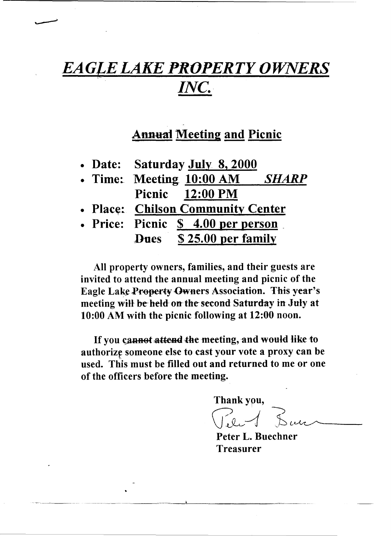## *EAGLE LAKE PROPERTY OWNERS INC.*

## **Annual Meeting and Picnic**

|  | • Date: | Saturday July 8, 2000 |  |  |
|--|---------|-----------------------|--|--|
|--|---------|-----------------------|--|--|

- Time: Meeting 10:00 AM *SHARP* Picnic 12:00 PM
- Place: Chilson Community Center
- Price: Picnic \$ 4.00 per person Dues \$ 25.00 per family

All property owners, families, and their guests are invited to attend the annual meeting and picnic of the Eagle Lake Property Owners Association. This year's meeting will be held on the second Saturday in July at 10:00 AM with the picnic following at 12:00 noon.

If you cannot attend the meeting, and would like to authorize someone else to cast your vote a proxy can be used. This must be filled out and returned to me or one of the officers before the meeting.

Thankypu,

 $C.2$ 

Peter L. Buechner Treasurer